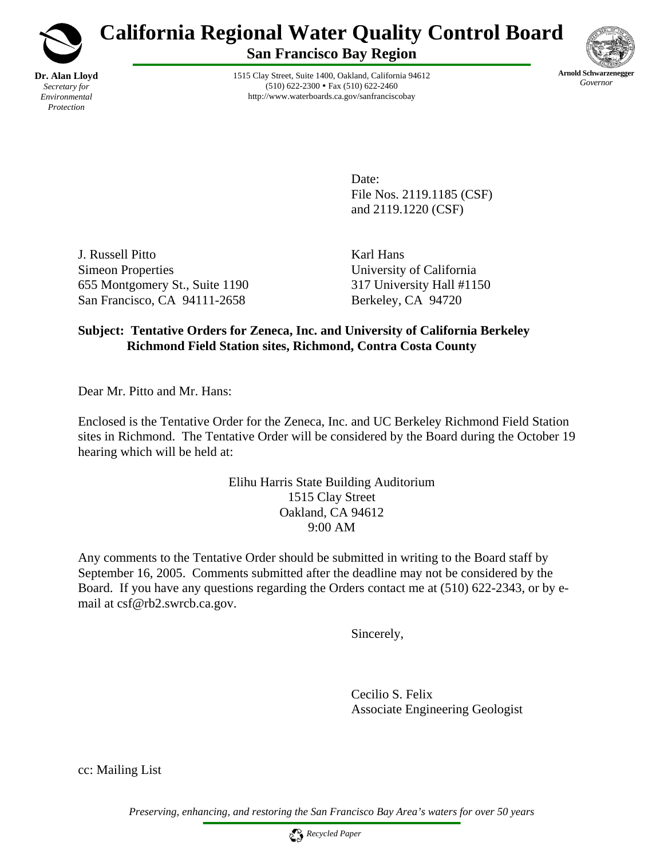

# **California Regional Water Quality Control Board**

**San Francisco Bay Region**

1515 Clay Street, Suite 1400, Oakland, California 94612  $(510) 622 - 2300 \cdot \text{Fax} (510) 622 - 2460$ http://www.waterboards.ca.gov/sanfranciscobay



Date: File Nos. 2119.1185 (CSF) and 2119.1220 (CSF)

J. Russell Pitto Karl Hans Simeon Properties University of California 655 Montgomery St., Suite 1190 317 University Hall #1150 San Francisco, CA 94111-2658 Berkeley, CA 94720

### **Subject: Tentative Orders for Zeneca, Inc. and University of California Berkeley Richmond Field Station sites, Richmond, Contra Costa County**

Dear Mr. Pitto and Mr. Hans:

Enclosed is the Tentative Order for the Zeneca, Inc. and UC Berkeley Richmond Field Station sites in Richmond. The Tentative Order will be considered by the Board during the October 19 hearing which will be held at:

> Elihu Harris State Building Auditorium 1515 Clay Street Oakland, CA 94612 9:00 AM

Any comments to the Tentative Order should be submitted in writing to the Board staff by September 16, 2005. Comments submitted after the deadline may not be considered by the Board. If you have any questions regarding the Orders contact me at (510) 622-2343, or by email at csf@rb2.swrcb.ca.gov.

Sincerely,

Cecilio S. Felix Associate Engineering Geologist

cc: Mailing List

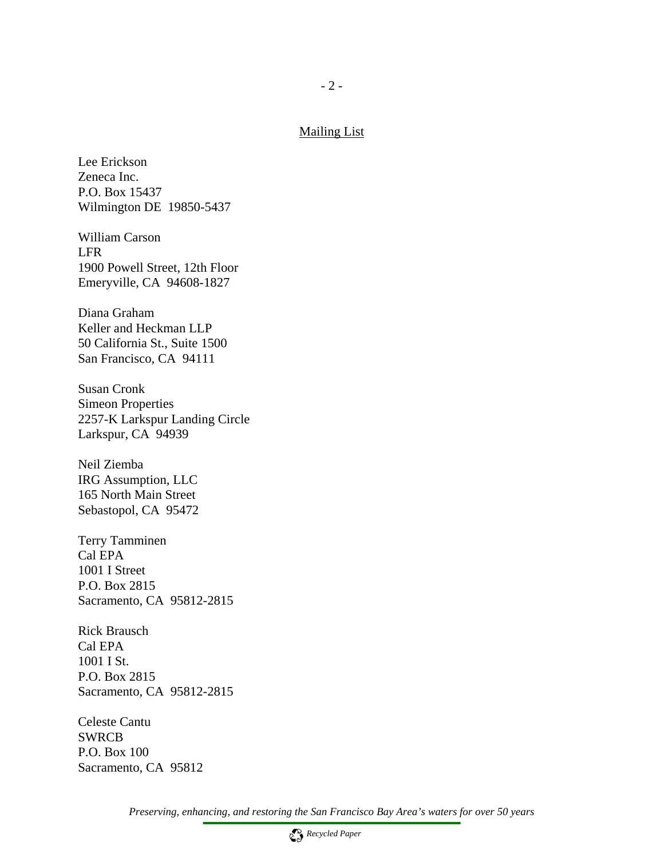## $- 2 -$

#### Mailing List

Lee Erickson Zeneca Inc. P.O. Box 15437 Wilmington DE 19850-5437

William Carson LFR 1900 Powell Street, 12th Floor Emeryville, CA 94608-1827

Diana Graham Keller and Heckman LLP 50 California St., Suite 1500 San Francisco, CA 94111

Susan Cronk Simeon Properties 2257-K Larkspur Landing Circle Larkspur, CA 94939

Neil Ziemba IRG Assumption, LLC 165 North Main Street Sebastopol, CA 95472

Terry Tamminen Cal EPA 1001 I Street P.O. Box 2815 Sacramento, CA 95812-2815

Rick Brausch Cal EPA 1001 I St. P.O. Box 2815 Sacramento, CA 95812-2815

Celeste Cantu SWRCB P.O. Box 100 Sacramento, CA 95812

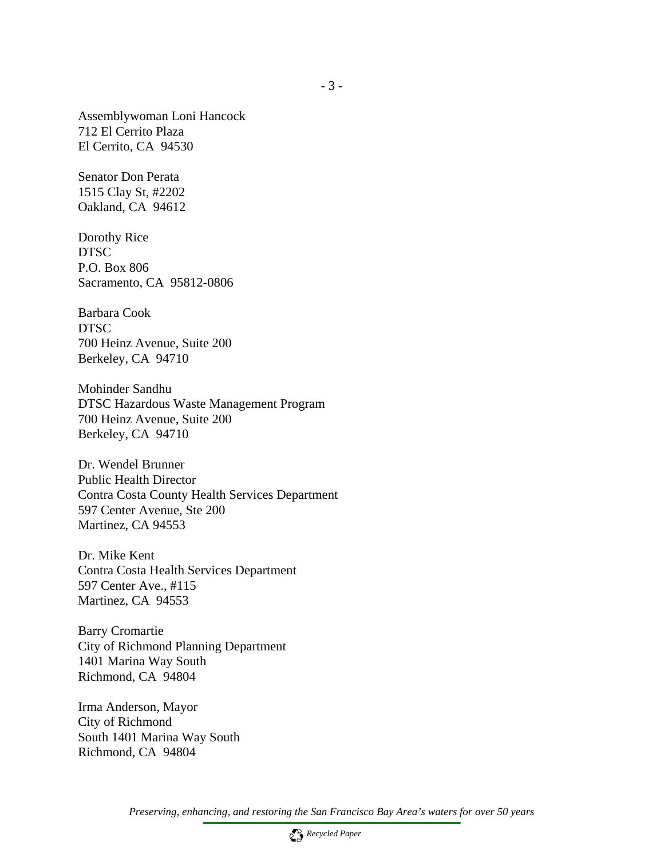Assemblywoman Loni Hancock 712 El Cerrito Plaza El Cerrito, CA 94530

Senator Don Perata 1515 Clay St, #2202 Oakland, CA 94612

Dorothy Rice DTSC P.O. Box 806 Sacramento, CA 95812-0806

Barbara Cook DTSC 700 Heinz Avenue, Suite 200 Berkeley, CA 94710

Mohinder Sandhu DTSC Hazardous Waste Management Program 700 Heinz Avenue, Suite 200 Berkeley, CA 94710

Dr. Wendel Brunner Public Health Director Contra Costa County Health Services Department 597 Center Avenue, Ste 200 Martinez, CA 94553

Dr. Mike Kent Contra Costa Health Services Department 597 Center Ave., #115 Martinez, CA 94553

Barry Cromartie City of Richmond Planning Department 1401 Marina Way South Richmond, CA 94804

Irma Anderson, Mayor City of Richmond South 1401 Marina Way South Richmond, CA 94804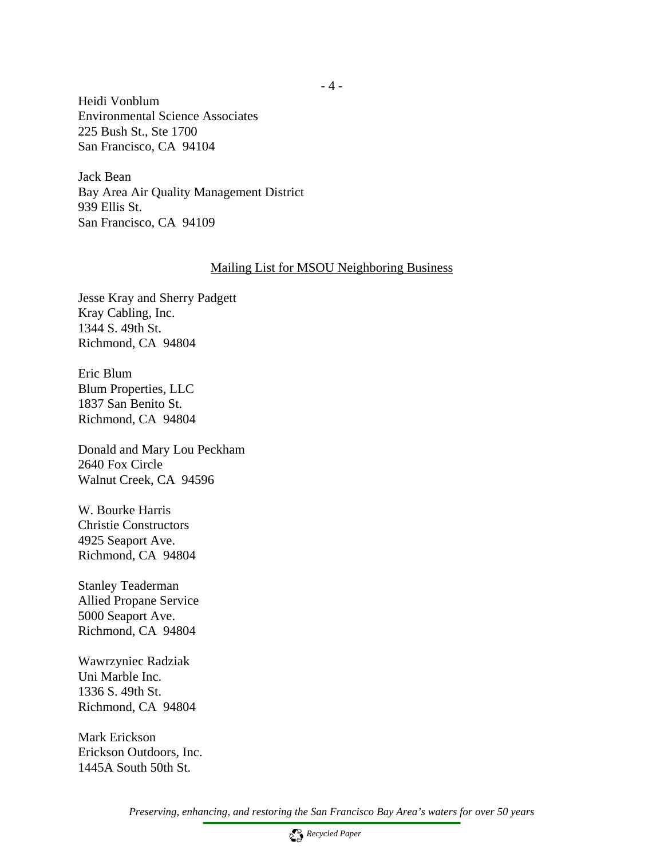Heidi Vonblum Environmental Science Associates 225 Bush St., Ste 1700 San Francisco, CA 94104

Jack Bean Bay Area Air Quality Management District 939 Ellis St. San Francisco, CA 94109

#### Mailing List for MSOU Neighboring Business

Jesse Kray and Sherry Padgett Kray Cabling, Inc. 1344 S. 49th St. Richmond, CA 94804

Eric Blum Blum Properties, LLC 1837 San Benito St. Richmond, CA 94804

Donald and Mary Lou Peckham 2640 Fox Circle Walnut Creek, CA 94596

W. Bourke Harris Christie Constructors 4925 Seaport Ave. Richmond, CA 94804

Stanley Teaderman Allied Propane Service 5000 Seaport Ave. Richmond, CA 94804

Wawrzyniec Radziak Uni Marble Inc. 1336 S. 49th St. Richmond, CA 94804

Mark Erickson Erickson Outdoors, Inc. 1445A South 50th St.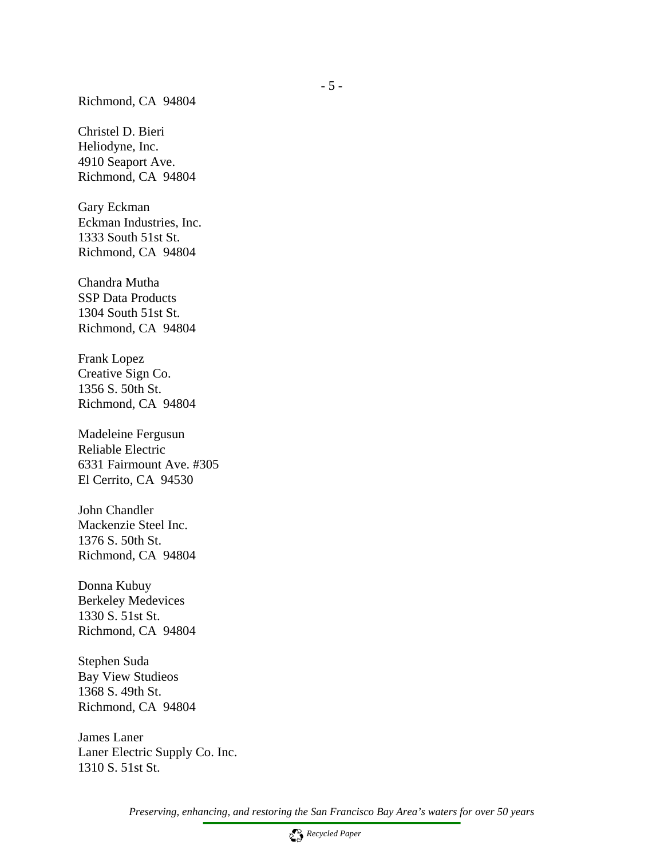#### Richmond, CA 94804

Christel D. Bieri Heliodyne, Inc. 4910 Seaport Ave. Richmond, CA 94804

Gary Eckman Eckman Industries, Inc. 1333 South 51st St. Richmond, CA 94804

Chandra Mutha SSP Data Products 1304 South 51st St. Richmond, CA 94804

Frank Lopez Creative Sign Co. 1356 S. 50th St. Richmond, CA 94804

Madeleine Fergusun Reliable Electric 6331 Fairmount Ave. #305 El Cerrito, CA 94530

John Chandler Mackenzie Steel Inc. 1376 S. 50th St. Richmond, CA 94804

Donna Kubuy Berkeley Medevices 1330 S. 51st St. Richmond, CA 94804

Stephen Suda Bay View Studieos 1368 S. 49th St. Richmond, CA 94804

James Laner Laner Electric Supply Co. Inc. 1310 S. 51st St.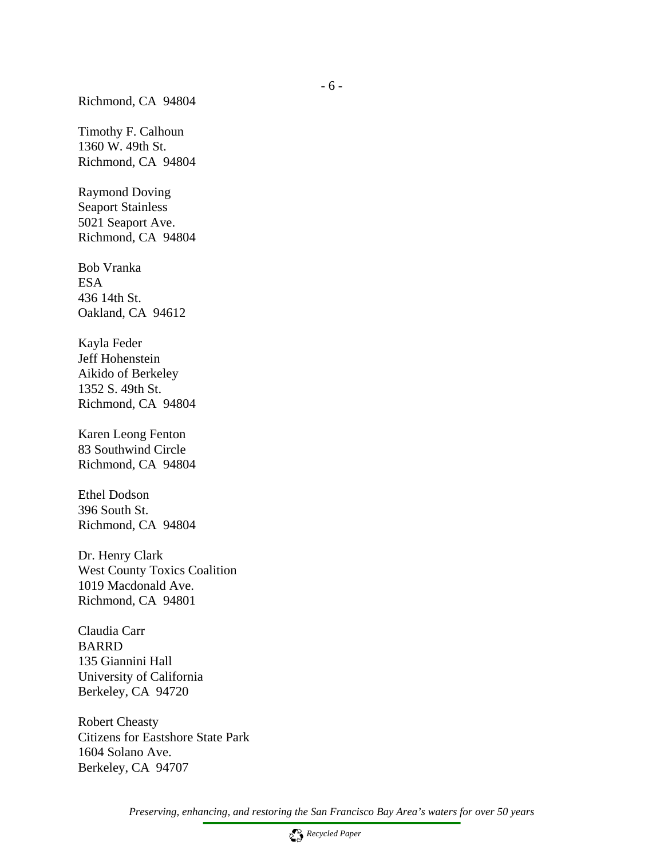Timothy F. Calhoun 1360 W. 49th St. Richmond, CA 94804

Raymond Doving Seaport Stainless 5021 Seaport Ave. Richmond, CA 94804

Bob Vranka ESA 436 14th St. Oakland, CA 94612

Kayla Feder Jeff Hohenstein Aikido of Berkeley 1352 S. 49th St. Richmond, CA 94804

Karen Leong Fenton 83 Southwind Circle Richmond, CA 94804

Ethel Dodson 396 South St. Richmond, CA 94804

Dr. Henry Clark West County Toxics Coalition 1019 Macdonald Ave. Richmond, CA 94801

Claudia Carr BARRD 135 Giannini Hall University of California Berkeley, CA 94720

Robert Cheasty Citizens for Eastshore State Park 1604 Solano Ave. Berkeley, CA 94707